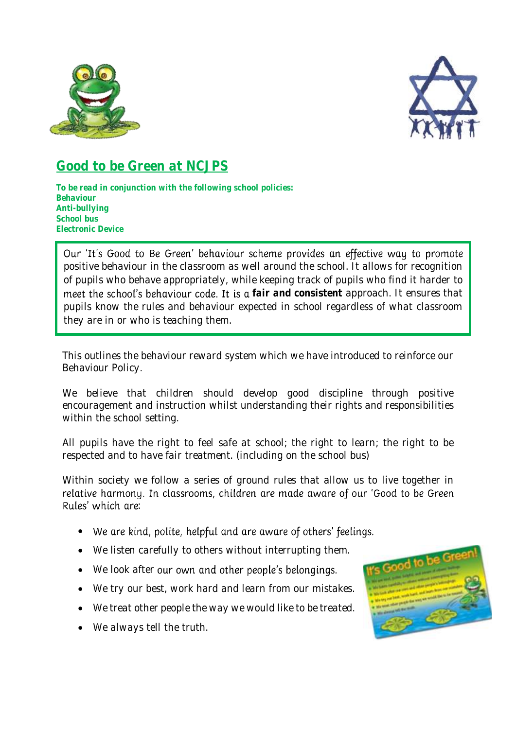



# **Good to be Green at NCJPS**

**To be read in conjunction with the following school policies: Behaviour Anti-bullying School bus Electronic Device** 

Our 'It's Good to Be Green' behaviour scheme provides an effective way to promote positive behaviour in the classroom as well around the school. It allows for recognition of pupils who behave appropriately, while keeping track of pupils who find it harder to meet the school's behaviour code. It is a fair and consistent approach. It ensures that pupils know the rules and behaviour expected in school regardless of what classroom they are in or who is teaching them.

This outlines the behaviour reward system which we have introduced to reinforce our Behaviour Policy.

We believe that children should develop good discipline through positive encouragement and instruction whilst understanding their rights and responsibilities within the school setting.

All pupils have the right to feel safe at school; the right to learn; the right to be respected and to have fair treatment. (including on the school bus)

Within society we follow a series of ground rules that allow us to live together in relative harmony. In classrooms, children are made aware of our 'Good to be Green Rules' which are:

- We are kind, polite, helpful and are aware of others' feelings.
- We listen carefully to others without interrupting them.
- We look after our own and other people's belongings.
- We try our best, work hard and learn from our mistakes.
- We treat other people the way we would like to be treated.
- We always tell the truth.

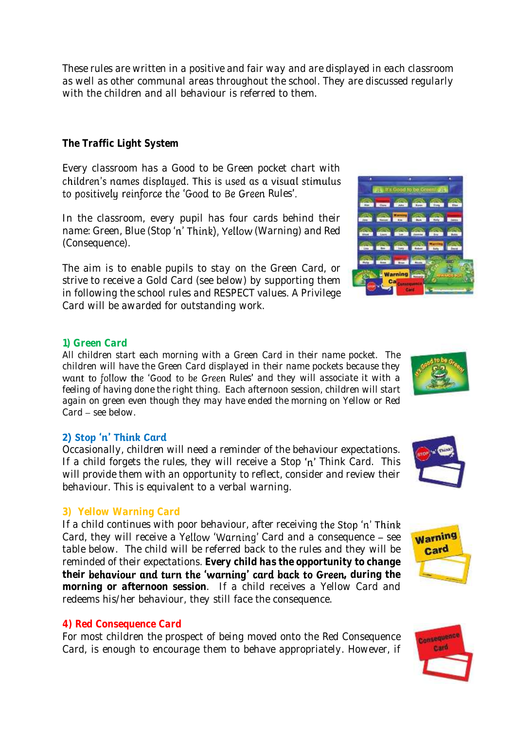These rules are written in a positive and fair way and are displayed in each classroom as well as other communal areas throughout the school. They are discussed regularly with the children and all behaviour is referred to them.

# **The Traffic Light System**

Every classroom has a Good to be Green pocket chart with children's names displayed. This is used as a visual stimulus to positively reinforce the 'Good to Be Green Rules'.

In the classroom, every pupil has four cards behind their name: Green, Blue (Stop 'n' Think), Yellow (Warning) and Red (Consequence).

The aim is to enable pupils to stay on the Green Card, or strive to receive a Gold Card (see below) by supporting them in following the school rules and RESPECT values. A Privilege Card will be awarded for outstanding work.

# **1) Green Card**

All children start each morning with a Green Card in their name pocket. The children will have the Green Card displayed in their name pockets because they want to follow the 'Good to be Green Rules' and they will associate it with a feeling of having done the right thing. Each afternoon session, children will start again on green even though they may have ended the morning on Yellow or Red  $Card - see below.$ 

# 2) Stop 'n' Think Card

Occasionally, children will need a reminder of the behaviour expectations. If a child forgets the rules, they will receive a Stop 'n' Think Card. This will provide them with an opportunity to reflect, consider and review their behaviour. This is equivalent to a verbal warning.

## **3) Yellow Warning Card**

If a child continues with poor behaviour, after receiving the Stop 'n' Think Card, they will receive a Yellow 'Warning' Card and a consequence  $-$  see table below. The child will be referred back to the rules and they will be reminded of their expectations. **Every child has the opportunity to change**  their **behaviour and turn the 'warning' card back to Green**, during the **morning or afternoon session**. If a child receives a Yellow Card and redeems his/her behaviour, they still face the consequence.

## **4) Red Consequence Card**

For most children the prospect of being moved onto the Red Consequence Card, is enough to encourage them to behave appropriately. However, if













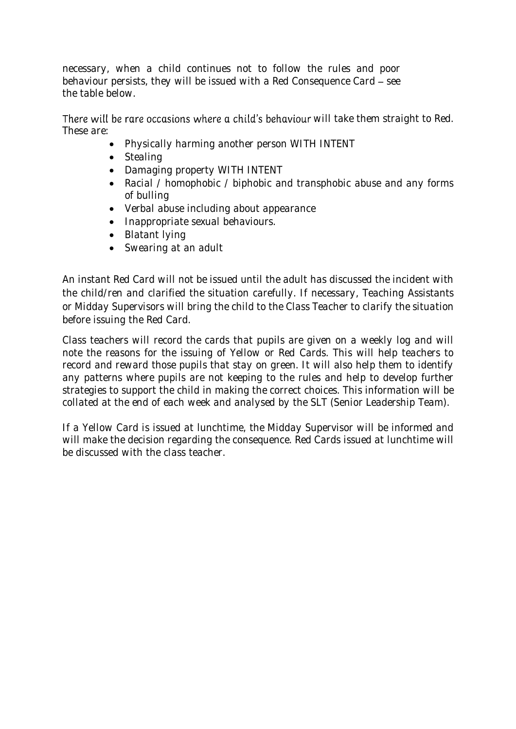necessary, when a child continues not to follow the rules and poor behaviour persists, they will be issued with a Red Consequence Card  $-$  see the table below.

There will be rare occasions where a child's behaviour will take them straight to Red. These are:

- Physically harming another person WITH INTENT
- Stealing
- Damaging property WITH INTENT
- Racial / homophobic / biphobic and transphobic abuse and any forms of bulling
- Verbal abuse including about appearance
- Inappropriate sexual behaviours.
- Blatant lying
- Swearing at an adult

An instant Red Card will not be issued until the adult has discussed the incident with the child/ren and clarified the situation carefully. If necessary, Teaching Assistants or Midday Supervisors will bring the child to the Class Teacher to clarify the situation before issuing the Red Card.

Class teachers will record the cards that pupils are given on a weekly log and will note the reasons for the issuing of Yellow or Red Cards. This will help teachers to record and reward those pupils that stay on green. It will also help them to identify any patterns where pupils are not keeping to the rules and help to develop further strategies to support the child in making the correct choices. This information will be collated at the end of each week and analysed by the SLT (Senior Leadership Team).

If a Yellow Card is issued at lunchtime, the Midday Supervisor will be informed and will make the decision regarding the consequence. Red Cards issued at lunchtime will be discussed with the class teacher.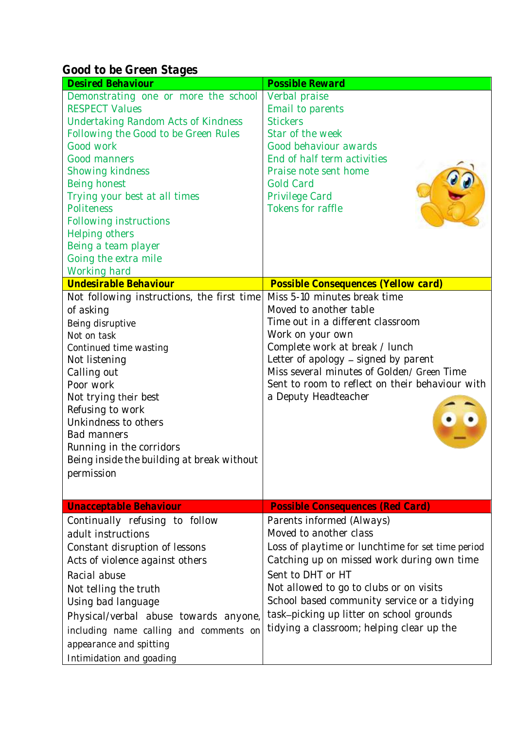**Good to be Green Stages** 

| <b>Desired Behaviour</b>                                                                                                                                                                                                                                                                                                                                                       | Possible Reward                                                                                                                                                                                                                                                                                                                                                |
|--------------------------------------------------------------------------------------------------------------------------------------------------------------------------------------------------------------------------------------------------------------------------------------------------------------------------------------------------------------------------------|----------------------------------------------------------------------------------------------------------------------------------------------------------------------------------------------------------------------------------------------------------------------------------------------------------------------------------------------------------------|
| Demonstrating one or more the school<br><b>RESPECT Values</b><br><b>Undertaking Random Acts of Kindness</b><br>Following the Good to be Green Rules<br>Good work<br>Good manners<br>Showing kindness<br>Being honest<br>Trying your best at all times<br>Politeness<br>Following instructions<br>Helping others<br>Being a team player<br>Going the extra mile<br>Working hard | Verbal praise<br>Email to parents<br><b>Stickers</b><br>Star of the week<br>Good behaviour awards<br>End of half term activities<br>Praise note sent home<br><b>Gold Card</b><br>Privilege Card<br>Tokens for raffle                                                                                                                                           |
| Undesirable Behaviour                                                                                                                                                                                                                                                                                                                                                          | Possible Consequences (Yellow card)                                                                                                                                                                                                                                                                                                                            |
| Not following instructions, the first time<br>of asking<br>Being disruptive<br>Not on task<br>Continued time wasting<br>Not listening<br>Calling out<br>Poor work<br>Not trying their best<br>Refusing to work<br>Unkindness to others<br><b>Bad manners</b><br>Running in the corridors<br>Being inside the building at break without<br>permission                           | Miss 5-10 minutes break time<br>Moved to another table<br>Time out in a different classroom<br>Work on your own<br>Complete work at break / lunch<br>Letter of apology - signed by parent<br>Miss several minutes of Golden/ Green Time<br>Sent to room to reflect on their behaviour with<br>a Deputy Headteacher                                             |
| Unacceptable Behaviour                                                                                                                                                                                                                                                                                                                                                         | Possible Consequences (Red Card)                                                                                                                                                                                                                                                                                                                               |
| Continually refusing to follow<br>adult instructions<br>Constant disruption of lessons<br>Acts of violence against others<br>Racial abuse<br>Not telling the truth<br>Using bad language<br>Physical/verbal abuse towards anyone,<br>including name calling and comments on<br>appearance and spitting<br>Intimidation and goading                                             | Parents informed (Always)<br>Moved to another class<br>Loss of playtime or lunchtime for set time period<br>Catching up on missed work during own time<br>Sent to DHT or HT<br>Not allowed to go to clubs or on visits<br>School based community service or a tidying<br>task-picking up litter on school grounds<br>tidying a classroom; helping clear up the |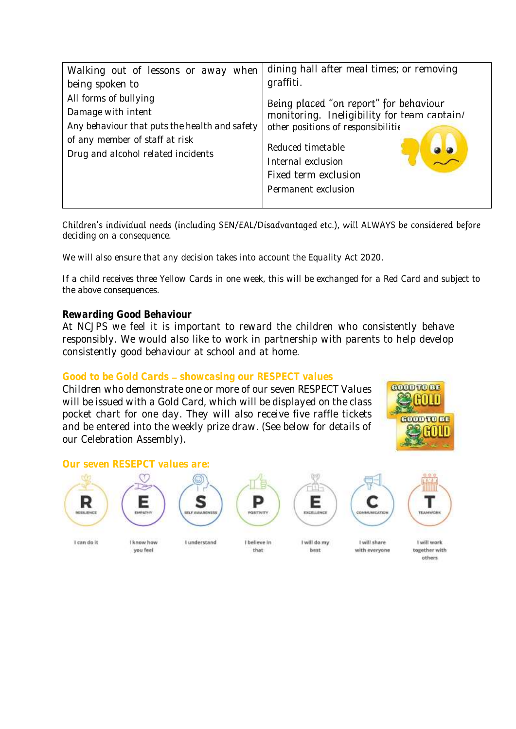| Walking out of lessons or away when           | dining hall after meal times; or removing   |
|-----------------------------------------------|---------------------------------------------|
| being spoken to                               | graffiti.                                   |
| All forms of bullying                         | Being placed "on report" for behaviour      |
| Damage with intent                            | monitoring. Ineligibility for team cantain/ |
| Any behaviour that puts the health and safety | other positions of responsibilitie          |
| of any member of staff at risk                | Reduced timetable                           |
| Drug and alcohol related incidents            | Internal exclusion                          |
|                                               |                                             |
|                                               | Fixed term exclusion                        |
|                                               | Permanent exclusion                         |
|                                               |                                             |

Children's individual needs (including SEN/EAL/Disadvantaged etc.), will ALWAYS be considered before deciding on a consequence.

We will also ensure that any decision takes into account the Equality Act 2020.

If a child receives three Yellow Cards in one week, this will be exchanged for a Red Card and subject to the above consequences.

## **Rewarding Good Behaviour**

At NCJPS we feel it is important to reward the children who consistently behave responsibly. We would also like to work in partnership with parents to help develop consistently good behaviour at school and at home.

## Good to be Gold Cards - showcasing our RESPECT values

Children who demonstrate one or more of our seven RESPECT Values will be issued with a Gold Card, which will be displayed on the class pocket chart for one day. They will also receive five raffle tickets and be entered into the weekly prize draw. (See below for details of our Celebration Assembly).



## **Our seven RESEPCT values are:**



Е

Œ







best

C



I can do it

I know how I understand you feel.

I believe in that

I will do my

with everyone

I will share

I will work together with others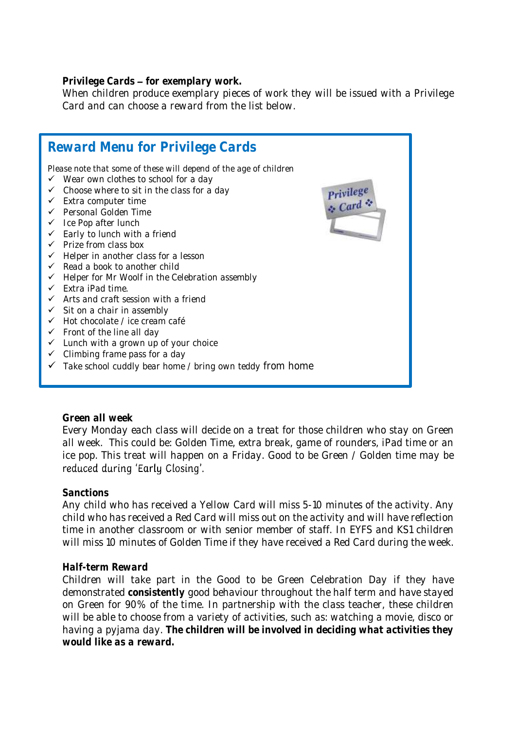Privilege Cards - for exemplary work.

When children produce exemplary pieces of work they will be issued with a Privilege Card and can choose a reward from the list below.



**Green all week**

Every Monday each class will decide on a treat for those children who stay on Green all week. This could be: Golden Time, extra break, game of rounders, iPad time or an ice pop. This treat will happen on a Friday. Good to be Green / Golden time may be reduced during 'Early Closing'.

## **Sanctions**

Any child who has received a Yellow Card will miss 5-10 minutes of the activity. Any child who has received a Red Card will miss out on the activity and will have reflection time in another classroom or with senior member of staff. In EYFS and KS1 children will miss 10 minutes of Golden Time if they have received a Red Card during the week.

## **Half-term Reward**

Children will take part in the Good to be Green Celebration Day if they have demonstrated **consistently** good behaviour throughout the half term and have stayed on Green for 90% of the time. In partnership with the class teacher, these children will be able to choose from a variety of activities, such as: watching a movie, disco or having a pyjama day. **The children will be involved in deciding what activities they would like as a reward.**